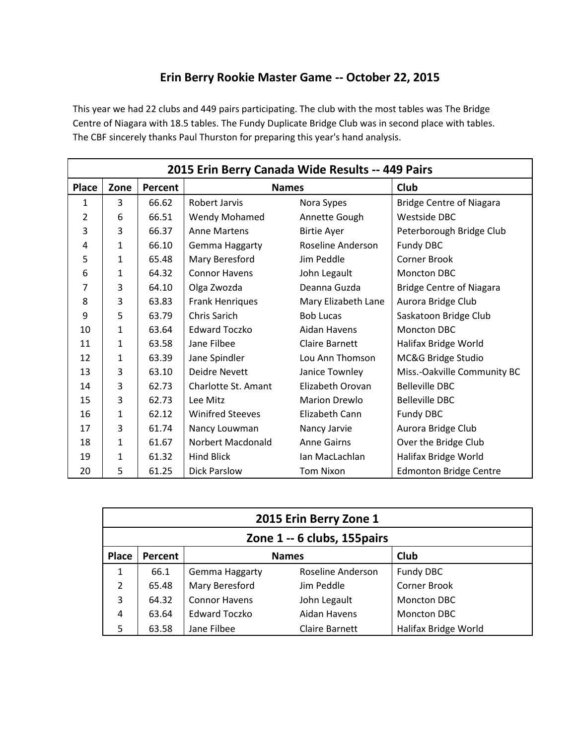## **Erin Berry Rookie Master Game -- October 22, 2015**

This year we had 22 clubs and 449 pairs participating. The club with the most tables was The Bridge Centre of Niagara with 18.5 tables. The Fundy Duplicate Bridge Club was in second place with tables. The CBF sincerely thanks Paul Thurston for preparing this year's hand analysis.

|              |              |         | 2015 Erin Berry Canada Wide Results -- 449 Pairs |                       |                                 |
|--------------|--------------|---------|--------------------------------------------------|-----------------------|---------------------------------|
| <b>Place</b> | Zone         | Percent | <b>Names</b>                                     |                       | <b>Club</b>                     |
| 1            | 3            | 66.62   | Robert Jarvis                                    | Nora Sypes            | <b>Bridge Centre of Niagara</b> |
| 2            | 6            | 66.51   | Wendy Mohamed                                    | Annette Gough         | Westside DBC                    |
| 3            | 3            | 66.37   | <b>Anne Martens</b>                              | <b>Birtie Ayer</b>    | Peterborough Bridge Club        |
| 4            | 1            | 66.10   | Gemma Haggarty                                   | Roseline Anderson     | Fundy DBC                       |
| 5            | 1            | 65.48   | Mary Beresford                                   | Jim Peddle            | Corner Brook                    |
| 6            | 1            | 64.32   | <b>Connor Havens</b>                             | John Legault          | Moncton DBC                     |
| 7            | 3            | 64.10   | Olga Zwozda                                      | Deanna Guzda          | <b>Bridge Centre of Niagara</b> |
| 8            | 3            | 63.83   | <b>Frank Henriques</b>                           | Mary Elizabeth Lane   | Aurora Bridge Club              |
| 9            | 5            | 63.79   | Chris Sarich                                     | <b>Bob Lucas</b>      | Saskatoon Bridge Club           |
| 10           | 1            | 63.64   | <b>Edward Toczko</b>                             | Aidan Havens          | <b>Moncton DBC</b>              |
| 11           | 1            | 63.58   | Jane Filbee                                      | <b>Claire Barnett</b> | Halifax Bridge World            |
| 12           | $\mathbf{1}$ | 63.39   | Jane Spindler                                    | Lou Ann Thomson       | MC&G Bridge Studio              |
| 13           | 3            | 63.10   | Deidre Nevett                                    | Janice Townley        | Miss.-Oakville Community BC     |
| 14           | 3            | 62.73   | Charlotte St. Amant                              | Elizabeth Orovan      | <b>Belleville DBC</b>           |
| 15           | 3            | 62.73   | Lee Mitz                                         | <b>Marion Drewlo</b>  | <b>Belleville DBC</b>           |
| 16           | 1            | 62.12   | <b>Winifred Steeves</b>                          | Elizabeth Cann        | Fundy DBC                       |
| 17           | 3            | 61.74   | Nancy Louwman                                    | Nancy Jarvie          | Aurora Bridge Club              |
| 18           | 1            | 61.67   | Norbert Macdonald                                | <b>Anne Gairns</b>    | Over the Bridge Club            |
| 19           | 1            | 61.32   | <b>Hind Blick</b>                                | Ian MacLachlan        | Halifax Bridge World            |
| 20           | 5            | 61.25   | <b>Dick Parslow</b>                              | <b>Tom Nixon</b>      | <b>Edmonton Bridge Centre</b>   |

|              |         |                      | 2015 Erin Berry Zone 1       |                      |
|--------------|---------|----------------------|------------------------------|----------------------|
|              |         |                      | Zone 1 -- 6 clubs, 155 pairs |                      |
| <b>Place</b> | Percent |                      | <b>Names</b>                 | Club                 |
| 1            | 66.1    | Gemma Haggarty       | Roseline Anderson            | Fundy DBC            |
| 2            | 65.48   | Mary Beresford       | Jim Peddle                   | <b>Corner Brook</b>  |
| 3            | 64.32   | <b>Connor Havens</b> | John Legault                 | Moncton DBC          |
| 4            | 63.64   | <b>Edward Toczko</b> | Aidan Havens                 | Moncton DBC          |
| 5            | 63.58   | Jane Filbee          | Claire Barnett               | Halifax Bridge World |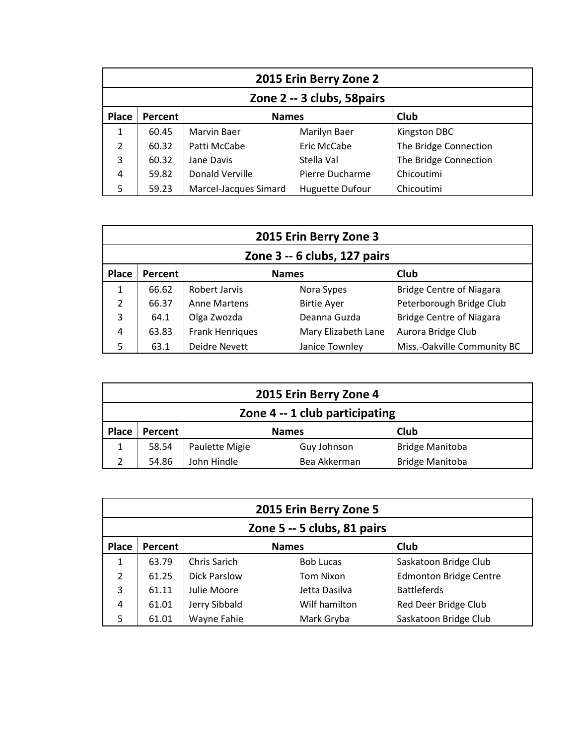|               |         |                       | 2015 Erin Berry Zone 2      |                       |
|---------------|---------|-----------------------|-----------------------------|-----------------------|
|               |         |                       | Zone 2 -- 3 clubs, 58 pairs |                       |
| <b>Place</b>  | Percent | <b>Names</b>          |                             | Club                  |
| 1             | 60.45   | <b>Marvin Baer</b>    | Marilyn Baer                | Kingston DBC          |
| $\mathcal{P}$ | 60.32   | Patti McCabe          | Eric McCabe                 | The Bridge Connection |
| 3             | 60.32   | Jane Davis            | Stella Val                  | The Bridge Connection |
| 4             | 59.82   | Donald Verville       | Pierre Ducharme             | Chicoutimi            |
| 5             | 59.23   | Marcel-Jacques Simard | <b>Huguette Dufour</b>      | Chicoutimi            |

|               |         |                        | 2015 Erin Berry Zone 3       |                                 |
|---------------|---------|------------------------|------------------------------|---------------------------------|
|               |         |                        | Zone 3 -- 6 clubs, 127 pairs |                                 |
| Place         | Percent |                        | <b>Names</b>                 | Club                            |
| 1             | 66.62   | Robert Jarvis          | Nora Sypes                   | <b>Bridge Centre of Niagara</b> |
| $\mathfrak z$ | 66.37   | <b>Anne Martens</b>    | <b>Birtie Ayer</b>           | Peterborough Bridge Club        |
| 3             | 64.1    | Olga Zwozda            | Deanna Guzda                 | <b>Bridge Centre of Niagara</b> |
| 4             | 63.83   | <b>Frank Henriques</b> | Mary Elizabeth Lane          | Aurora Bridge Club              |
| 5             | 63.1    | Deidre Nevett          | Janice Townley               | Miss.-Oakville Community BC     |

|              |         |                | 2015 Erin Berry Zone 4         |                        |
|--------------|---------|----------------|--------------------------------|------------------------|
|              |         |                | Zone 4 -- 1 club participating |                        |
| <b>Place</b> | Percent |                | <b>Names</b>                   | Club                   |
| $\mathbf{1}$ | 58.54   | Paulette Migie | Guy Johnson                    | <b>Bridge Manitoba</b> |
| C.           | 54.86   | John Hindle    | Bea Akkerman                   | <b>Bridge Manitoba</b> |

|                |         |                     | 2015 Erin Berry Zone 5      |                               |
|----------------|---------|---------------------|-----------------------------|-------------------------------|
|                |         |                     | Zone 5 -- 5 clubs, 81 pairs |                               |
| Place          | Percent |                     | <b>Names</b>                | Club                          |
| $\mathbf{1}$   | 63.79   | Chris Sarich        | <b>Bob Lucas</b>            | Saskatoon Bridge Club         |
| $\mathfrak{p}$ | 61.25   | <b>Dick Parslow</b> | <b>Tom Nixon</b>            | <b>Edmonton Bridge Centre</b> |
| 3              | 61.11   | Julie Moore         | Jetta Dasilva               | <b>Battleferds</b>            |
| 4              | 61.01   | Jerry Sibbald       | Wilf hamilton               | Red Deer Bridge Club          |
| 5              | 61.01   | Wayne Fahie         | Mark Gryba                  | Saskatoon Bridge Club         |